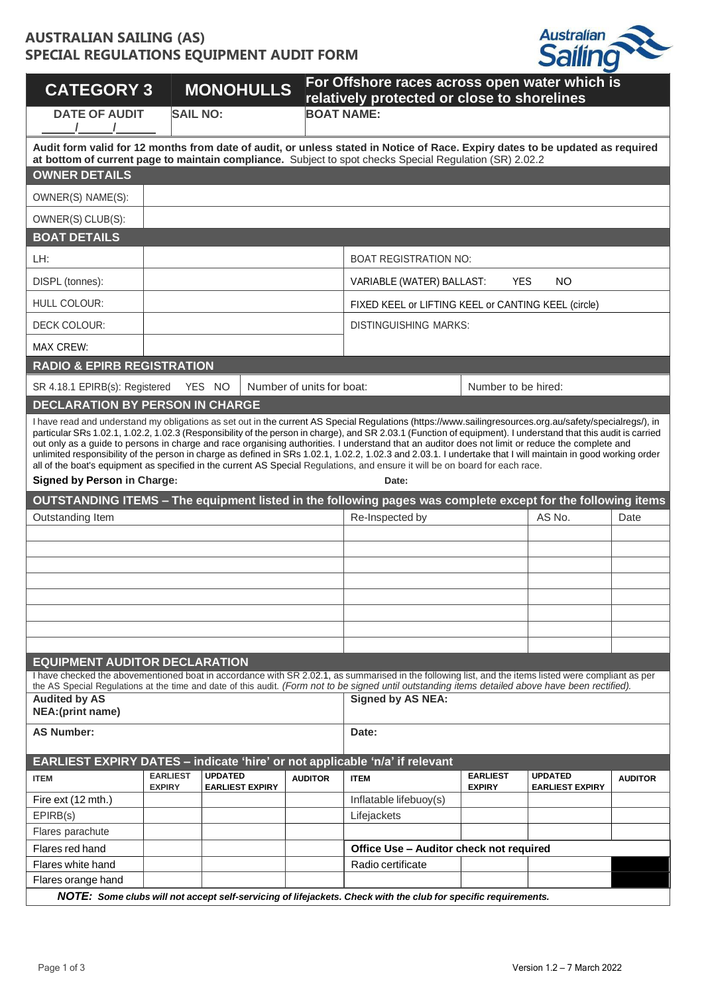## **AUSTRALIAN SAILING (AS) SPECIAL REGULATIONS EQUIPMENT AUDIT FORM**



| <b>CATEGORY 3</b>                         |                                  |                 | <b>MONOHULLS</b>             |                                                     | For Offshore races across open water which is<br>relatively protected or close to shorelines                                                                                                                                                                                                                                                                                                                                                                                                                                                                                                                                                                                                                                                                                             |                                  |                                          |                |
|-------------------------------------------|----------------------------------|-----------------|------------------------------|-----------------------------------------------------|------------------------------------------------------------------------------------------------------------------------------------------------------------------------------------------------------------------------------------------------------------------------------------------------------------------------------------------------------------------------------------------------------------------------------------------------------------------------------------------------------------------------------------------------------------------------------------------------------------------------------------------------------------------------------------------------------------------------------------------------------------------------------------------|----------------------------------|------------------------------------------|----------------|
| <b>DATE OF AUDIT</b>                      |                                  | <b>SAIL NO:</b> |                              |                                                     | <b>BOAT NAME:</b>                                                                                                                                                                                                                                                                                                                                                                                                                                                                                                                                                                                                                                                                                                                                                                        |                                  |                                          |                |
|                                           |                                  |                 |                              |                                                     | Audit form valid for 12 months from date of audit, or unless stated in Notice of Race. Expiry dates to be updated as required<br>at bottom of current page to maintain compliance. Subject to spot checks Special Regulation (SR) 2.02.2                                                                                                                                                                                                                                                                                                                                                                                                                                                                                                                                                 |                                  |                                          |                |
| <b>OWNER DETAILS</b>                      |                                  |                 |                              |                                                     |                                                                                                                                                                                                                                                                                                                                                                                                                                                                                                                                                                                                                                                                                                                                                                                          |                                  |                                          |                |
| OWNER(S) NAME(S):                         |                                  |                 |                              |                                                     |                                                                                                                                                                                                                                                                                                                                                                                                                                                                                                                                                                                                                                                                                                                                                                                          |                                  |                                          |                |
| OWNER(S) CLUB(S):                         |                                  |                 |                              |                                                     |                                                                                                                                                                                                                                                                                                                                                                                                                                                                                                                                                                                                                                                                                                                                                                                          |                                  |                                          |                |
| <b>BOAT DETAILS</b>                       |                                  |                 |                              |                                                     |                                                                                                                                                                                                                                                                                                                                                                                                                                                                                                                                                                                                                                                                                                                                                                                          |                                  |                                          |                |
| LH:                                       |                                  |                 |                              |                                                     | <b>BOAT REGISTRATION NO:</b>                                                                                                                                                                                                                                                                                                                                                                                                                                                                                                                                                                                                                                                                                                                                                             |                                  |                                          |                |
| DISPL (tonnes):                           |                                  |                 |                              |                                                     | VARIABLE (WATER) BALLAST:                                                                                                                                                                                                                                                                                                                                                                                                                                                                                                                                                                                                                                                                                                                                                                | <b>YES</b>                       | <b>NO</b>                                |                |
| HULL COLOUR:                              |                                  |                 |                              | FIXED KEEL or LIFTING KEEL or CANTING KEEL (circle) |                                                                                                                                                                                                                                                                                                                                                                                                                                                                                                                                                                                                                                                                                                                                                                                          |                                  |                                          |                |
| DECK COLOUR:                              |                                  |                 | <b>DISTINGUISHING MARKS:</b> |                                                     |                                                                                                                                                                                                                                                                                                                                                                                                                                                                                                                                                                                                                                                                                                                                                                                          |                                  |                                          |                |
| <b>MAX CREW:</b>                          |                                  |                 |                              |                                                     |                                                                                                                                                                                                                                                                                                                                                                                                                                                                                                                                                                                                                                                                                                                                                                                          |                                  |                                          |                |
| <b>RADIO &amp; EPIRB REGISTRATION</b>     |                                  |                 |                              |                                                     |                                                                                                                                                                                                                                                                                                                                                                                                                                                                                                                                                                                                                                                                                                                                                                                          |                                  |                                          |                |
| SR 4.18.1 EPIRB(s): Registered            |                                  | YES NO          | Number of units for boat:    |                                                     |                                                                                                                                                                                                                                                                                                                                                                                                                                                                                                                                                                                                                                                                                                                                                                                          | Number to be hired:              |                                          |                |
| <b>DECLARATION BY PERSON IN CHARGE</b>    |                                  |                 |                              |                                                     |                                                                                                                                                                                                                                                                                                                                                                                                                                                                                                                                                                                                                                                                                                                                                                                          |                                  |                                          |                |
| <b>Signed by Person in Charge:</b>        |                                  |                 |                              |                                                     | I have read and understand my obligations as set out in the current AS Special Regulations (https://www.sailingresources.org.au/safety/specialregs/), in<br>particular SRs 1.02.1, 1.02.2, 1.02.3 (Responsibility of the person in charge), and SR 2.03.1 (Function of equipment). I understand that this audit is carried<br>out only as a guide to persons in charge and race organising authorities. I understand that an auditor does not limit or reduce the complete and<br>unlimited responsibility of the person in charge as defined in SRs 1.02.1, 1.02.2, 1.02.3 and 2.03.1. I undertake that I will maintain in good working order<br>all of the boat's equipment as specified in the current AS Special Regulations, and ensure it will be on board for each race.<br>Date: |                                  |                                          |                |
|                                           |                                  |                 |                              |                                                     | OUTSTANDING ITEMS - The equipment listed in the following pages was complete except for the following items                                                                                                                                                                                                                                                                                                                                                                                                                                                                                                                                                                                                                                                                              |                                  |                                          |                |
| Outstanding Item                          |                                  |                 |                              |                                                     | Re-Inspected by                                                                                                                                                                                                                                                                                                                                                                                                                                                                                                                                                                                                                                                                                                                                                                          |                                  | AS No.                                   | Date           |
|                                           |                                  |                 |                              |                                                     |                                                                                                                                                                                                                                                                                                                                                                                                                                                                                                                                                                                                                                                                                                                                                                                          |                                  |                                          |                |
|                                           |                                  |                 |                              |                                                     |                                                                                                                                                                                                                                                                                                                                                                                                                                                                                                                                                                                                                                                                                                                                                                                          |                                  |                                          |                |
|                                           |                                  |                 |                              |                                                     |                                                                                                                                                                                                                                                                                                                                                                                                                                                                                                                                                                                                                                                                                                                                                                                          |                                  |                                          |                |
|                                           |                                  |                 |                              |                                                     |                                                                                                                                                                                                                                                                                                                                                                                                                                                                                                                                                                                                                                                                                                                                                                                          |                                  |                                          |                |
|                                           |                                  |                 |                              |                                                     |                                                                                                                                                                                                                                                                                                                                                                                                                                                                                                                                                                                                                                                                                                                                                                                          |                                  |                                          |                |
|                                           |                                  |                 |                              |                                                     |                                                                                                                                                                                                                                                                                                                                                                                                                                                                                                                                                                                                                                                                                                                                                                                          |                                  |                                          |                |
|                                           |                                  |                 |                              |                                                     |                                                                                                                                                                                                                                                                                                                                                                                                                                                                                                                                                                                                                                                                                                                                                                                          |                                  |                                          |                |
| <b>EQUIPMENT AUDITOR DECLARATION</b>      |                                  |                 |                              |                                                     | I have checked the abovementioned boat in accordance with SR 2.02.1, as summarised in the following list, and the items listed were compliant as per                                                                                                                                                                                                                                                                                                                                                                                                                                                                                                                                                                                                                                     |                                  |                                          |                |
|                                           |                                  |                 |                              |                                                     | the AS Special Regulations at the time and date of this audit. (Form not to be signed until outstanding items detailed above have been rectified).                                                                                                                                                                                                                                                                                                                                                                                                                                                                                                                                                                                                                                       |                                  |                                          |                |
| <b>Audited by AS</b><br>NEA: (print name) |                                  |                 |                              |                                                     | <b>Signed by AS NEA:</b>                                                                                                                                                                                                                                                                                                                                                                                                                                                                                                                                                                                                                                                                                                                                                                 |                                  |                                          |                |
| <b>AS Number:</b>                         |                                  |                 |                              |                                                     | Date:                                                                                                                                                                                                                                                                                                                                                                                                                                                                                                                                                                                                                                                                                                                                                                                    |                                  |                                          |                |
|                                           |                                  |                 |                              |                                                     | EARLIEST EXPIRY DATES - indicate 'hire' or not applicable 'n/a' if relevant                                                                                                                                                                                                                                                                                                                                                                                                                                                                                                                                                                                                                                                                                                              |                                  |                                          |                |
| <b>ITEM</b>                               | <b>EARLIEST</b><br><b>EXPIRY</b> | <b>UPDATED</b>  | <b>EARLIEST EXPIRY</b>       | <b>AUDITOR</b>                                      | <b>ITEM</b>                                                                                                                                                                                                                                                                                                                                                                                                                                                                                                                                                                                                                                                                                                                                                                              | <b>EARLIEST</b><br><b>EXPIRY</b> | <b>UPDATED</b><br><b>EARLIEST EXPIRY</b> | <b>AUDITOR</b> |
| Fire ext (12 mth.)                        |                                  |                 |                              |                                                     | Inflatable lifebuoy(s)                                                                                                                                                                                                                                                                                                                                                                                                                                                                                                                                                                                                                                                                                                                                                                   |                                  |                                          |                |
| EPIRB(s)                                  |                                  |                 |                              |                                                     | Lifejackets                                                                                                                                                                                                                                                                                                                                                                                                                                                                                                                                                                                                                                                                                                                                                                              |                                  |                                          |                |
| Flares parachute                          |                                  |                 |                              |                                                     |                                                                                                                                                                                                                                                                                                                                                                                                                                                                                                                                                                                                                                                                                                                                                                                          |                                  |                                          |                |
| Flares red hand                           |                                  |                 |                              |                                                     | Office Use - Auditor check not required                                                                                                                                                                                                                                                                                                                                                                                                                                                                                                                                                                                                                                                                                                                                                  |                                  |                                          |                |
| Flares white hand                         |                                  |                 |                              |                                                     | Radio certificate                                                                                                                                                                                                                                                                                                                                                                                                                                                                                                                                                                                                                                                                                                                                                                        |                                  |                                          |                |
| Flares orange hand                        |                                  |                 |                              |                                                     |                                                                                                                                                                                                                                                                                                                                                                                                                                                                                                                                                                                                                                                                                                                                                                                          |                                  |                                          |                |
|                                           |                                  |                 |                              |                                                     | NOTE: Some clubs will not accept self-servicing of lifejackets. Check with the club for specific requirements.                                                                                                                                                                                                                                                                                                                                                                                                                                                                                                                                                                                                                                                                           |                                  |                                          |                |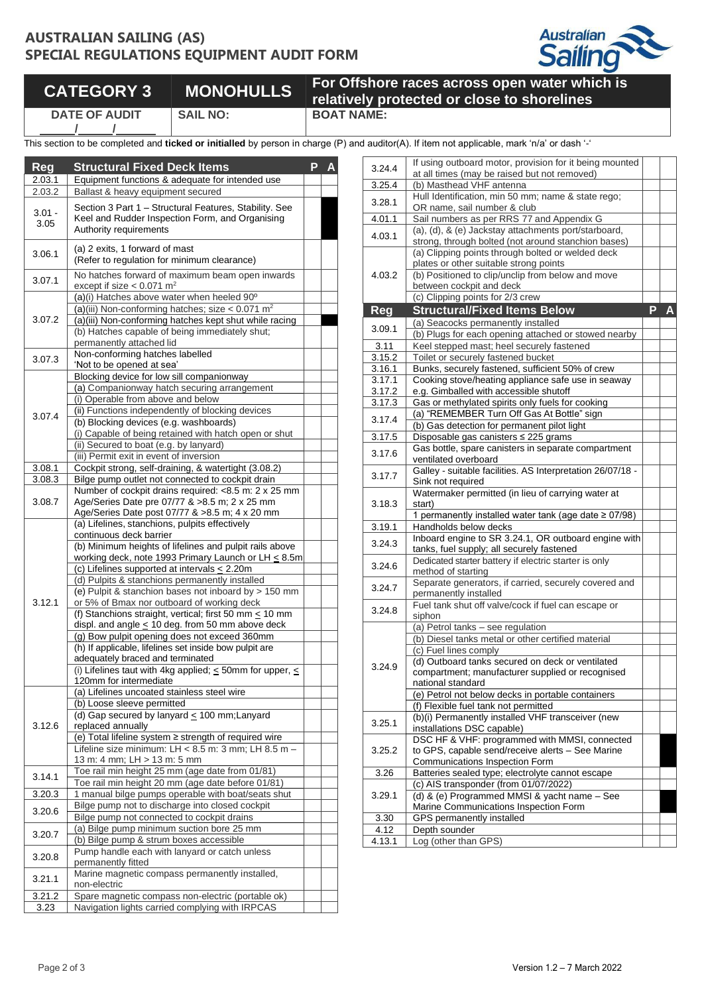### **AUSTRALIAN SAILING (AS) SPECIAL REGULATIONS EQUIPMENT AUDIT FORM**



# **CATEGORY 3 MONOHULLS For Offshore races across open water which is**

**/ /**

**DATE OF AUDIT**

**relatively protected or close to shorelines SAIL NO: BOAT NAME:**

This section to be completed and *ticked or initialled* by person in charge (P) and

| Reg              | <b>Structural Fixed Deck Items</b>                                                                                                  | Р |  |
|------------------|-------------------------------------------------------------------------------------------------------------------------------------|---|--|
| 2.03.1           | Equipment functions & adequate for intended use                                                                                     |   |  |
| 2.03.2           | Ballast & heavy equipment secured                                                                                                   |   |  |
| $3.01 -$<br>3.05 | Section 3 Part 1 - Structural Features, Stability. See<br>Keel and Rudder Inspection Form, and Organising<br>Authority requirements |   |  |
| 3.06.1           | (a) 2 exits, 1 forward of mast<br>(Refer to regulation for minimum clearance)                                                       |   |  |
| 3.07.1           | No hatches forward of maximum beam open inwards<br>except if size $< 0.071$ m <sup>2</sup>                                          |   |  |
|                  | (a)(i) Hatches above water when heeled 90°                                                                                          |   |  |
|                  | (a)(iii) Non-conforming hatches; size < $0.071$ m <sup>2</sup><br>(a)(iii) Non-conforming hatches kept shut while racing            |   |  |
| 3.07.2           | (b) Hatches capable of being immediately shut;<br>permanently attached lid                                                          |   |  |
|                  | Non-conforming hatches labelled                                                                                                     |   |  |
| 3.07.3           | 'Not to be opened at sea'                                                                                                           |   |  |
|                  | Blocking device for low sill companionway                                                                                           |   |  |
|                  | (a) Companionway hatch securing arrangement                                                                                         |   |  |
|                  | (i) Operable from above and below                                                                                                   |   |  |
| 3.07.4           | (ii) Functions independently of blocking devices                                                                                    |   |  |
|                  | (b) Blocking devices (e.g. washboards)<br>(i) Capable of being retained with hatch open or shut                                     |   |  |
|                  | (ii) Secured to boat (e.g. by lanyard)                                                                                              |   |  |
|                  | (iii) Permit exit in event of inversion                                                                                             |   |  |
| 3.08.1           | Cockpit strong, self-draining, & watertight (3.08.2)                                                                                |   |  |
| 3.08.3           | Bilge pump outlet not connected to cockpit drain                                                                                    |   |  |
|                  | Number of cockpit drains required: <8.5 m: 2 x 25 mm                                                                                |   |  |
| 3.08.7           | Age/Series Date pre 07/77 & >8.5 m; 2 x 25 mm                                                                                       |   |  |
|                  | Age/Series Date post 07/77 & >8.5 m; 4 x 20 mm<br>(a) Lifelines, stanchions, pulpits effectively                                    |   |  |
|                  | continuous deck barrier                                                                                                             |   |  |
|                  | (b) Minimum heights of lifelines and pulpit rails above                                                                             |   |  |
|                  | working deck, note 1993 Primary Launch or LH < 8.5m                                                                                 |   |  |
|                  | (c) Lifelines supported at intervals $\leq$ 2.20m                                                                                   |   |  |
|                  | (d) Pulpits & stanchions permanently installed                                                                                      |   |  |
|                  | (e) Pulpit & stanchion bases not inboard by > 150 mm                                                                                |   |  |
| 3.12.1           | or 5% of Bmax nor outboard of working deck                                                                                          |   |  |
|                  | (f) Stanchions straight, vertical; first 50 mm $\leq$ 10 mm<br>displ. and angle $\leq$ 10 deg. from 50 mm above deck                |   |  |
|                  | (g) Bow pulpit opening does not exceed 360mm                                                                                        |   |  |
|                  | (h) If applicable, lifelines set inside bow pulpit are                                                                              |   |  |
|                  | adequately braced and terminated                                                                                                    |   |  |
|                  | (i) Lifelines taut with 4kg applied; $\leq$ 50mm for upper, $\leq$                                                                  |   |  |
|                  | 120mm for intermediate                                                                                                              |   |  |
|                  | (a) Lifelines uncoated stainless steel wire                                                                                         |   |  |
|                  | (b) Loose sleeve permitted<br>(d) Gap secured by lanyard $\leq$ 100 mm; Lanyard                                                     |   |  |
| 3.12.6           | replaced annually                                                                                                                   |   |  |
|                  | (e) Total lifeline system ≥ strength of required wire                                                                               |   |  |
|                  | Lifeline size minimum: LH < 8.5 m: 3 mm; LH 8.5 m -                                                                                 |   |  |
|                  | 13 m: 4 mm; LH > 13 m: 5 mm                                                                                                         |   |  |
| 3.14.1           | Toe rail min height 25 mm (age date from 01/81)                                                                                     |   |  |
|                  | Toe rail min height 20 mm (age date before 01/81)                                                                                   |   |  |
| 3.20.3           | 1 manual bilge pumps operable with boat/seats shut<br>Bilge pump not to discharge into closed cockpit                               |   |  |
| 3.20.6           | Bilge pump not connected to cockpit drains                                                                                          |   |  |
|                  | (a) Bilge pump minimum suction bore 25 mm                                                                                           |   |  |
| 3.20.7           | (b) Bilge pump & strum boxes accessible                                                                                             |   |  |
| 3.20.8           | Pump handle each with lanyard or catch unless                                                                                       |   |  |
|                  | permanently fitted                                                                                                                  |   |  |
| 3.21.1           | Marine magnetic compass permanently installed,                                                                                      |   |  |
| 3.21.2           | non-electric                                                                                                                        |   |  |
| 3.23             | Spare magnetic compass non-electric (portable ok)<br>Navigation lights carried complying with IRPCAS                                |   |  |
|                  |                                                                                                                                     |   |  |

|                  | d auditor(A). If item not applicable, mark 'n/a' or dash '-'                                            |   |   |
|------------------|---------------------------------------------------------------------------------------------------------|---|---|
| 3.24.4           | If using outboard motor, provision for it being mounted<br>at all times (may be raised but not removed) |   |   |
| 3.25.4           | (b) Masthead VHF antenna                                                                                |   |   |
|                  | Hull Identification, min 50 mm; name & state rego;                                                      |   |   |
| 3.28.1           | OR name, sail number & club                                                                             |   |   |
| 4.01.1           | Sail numbers as per RRS 77 and Appendix G                                                               |   |   |
| 4.03.1           | (a), (d), & (e) Jackstay attachments port/starboard,                                                    |   |   |
|                  | strong, through bolted (not around stanchion bases)                                                     |   |   |
|                  | (a) Clipping points through bolted or welded deck<br>plates or other suitable strong points             |   |   |
| 4.03.2           | (b) Positioned to clip/unclip from below and move                                                       |   |   |
|                  | between cockpit and deck                                                                                |   |   |
|                  | (c) Clipping points for 2/3 crew                                                                        |   |   |
| Reg              | <b>Structural/Fixed Items Below</b>                                                                     | P | A |
| 3.09.1           | (a) Seacocks permanently installed                                                                      |   |   |
|                  | (b) Plugs for each opening attached or stowed nearby                                                    |   |   |
| 3.11             | Keel stepped mast; heel securely fastened                                                               |   |   |
| 3.15.2           | Toilet or securely fastened bucket                                                                      |   |   |
| 3.16.1           | Bunks, securely fastened, sufficient 50% of crew                                                        |   |   |
| 3.17.1<br>3.17.2 | Cooking stove/heating appliance safe use in seaway<br>e.g. Gimballed with accessible shutoff            |   |   |
| 3.17.3           | Gas or methylated spirits only fuels for cooking                                                        |   |   |
|                  | (a) "REMEMBER Turn Off Gas At Bottle" sign                                                              |   |   |
| 3.17.4           | (b) Gas detection for permanent pilot light                                                             |   |   |
| 3.17.5           | Disposable gas canisters ≤ 225 grams                                                                    |   |   |
| 3.17.6           | Gas bottle, spare canisters in separate compartment<br>ventilated overboard                             |   |   |
| 3.17.7           | Galley - suitable facilities. AS Interpretation 26/07/18 -                                              |   |   |
|                  | Sink not required<br>Watermaker permitted (in lieu of carrying water at                                 |   |   |
| 3.18.3           | start)                                                                                                  |   |   |
|                  | 1 permanently installed water tank (age date ≥ 07/98)                                                   |   |   |
| 3.19.1           | Handholds below decks                                                                                   |   |   |
| 3.24.3           | Inboard engine to SR 3.24.1, OR outboard engine with                                                    |   |   |
|                  | tanks, fuel supply; all securely fastened                                                               |   |   |
| 3.24.6           | Dedicated starter battery if electric starter is only<br>method of starting                             |   |   |
|                  | Separate generators, if carried, securely covered and                                                   |   |   |
| 3.24.7           | permanently installed                                                                                   |   |   |
| 3.24.8           | Fuel tank shut off valve/cock if fuel can escape or                                                     |   |   |
|                  | siphon                                                                                                  |   |   |
|                  | (a) Petrol tanks - see regulation                                                                       |   |   |
|                  | (b) Diesel tanks metal or other certified material<br>(c) Fuel lines comply                             |   |   |
| 3.24.9           | (d) Outboard tanks secured on deck or ventilated                                                        |   |   |
|                  | compartment; manufacturer supplied or recognised                                                        |   |   |
|                  | national standard                                                                                       |   |   |
|                  | (e) Petrol not below decks in portable containers                                                       |   |   |
|                  | (f) Flexible fuel tank not permitted                                                                    |   |   |
| 3.25.1           | (b)(i) Permanently installed VHF transceiver (new                                                       |   |   |
|                  | installations DSC capable)                                                                              |   |   |
| 3.25.2           | DSC HF & VHF: programmed with MMSI, connected<br>to GPS, capable send/receive alerts - See Marine       |   |   |
|                  | <b>Communications Inspection Form</b>                                                                   |   |   |
| 3.26             | Batteries sealed type; electrolyte cannot escape                                                        |   |   |
|                  | (c) AIS transponder (from 01/07/2022)                                                                   |   |   |
| 3.29.1           | (d) & (e) Programmed MMSI & yacht name - See                                                            |   |   |
|                  | Marine Communications Inspection Form                                                                   |   |   |
| 3.30             | <b>GPS</b> permanently installed                                                                        |   |   |
| 4.12<br>4.13.1   | Depth sounder<br>Log (other than GPS)                                                                   |   |   |
|                  |                                                                                                         |   |   |